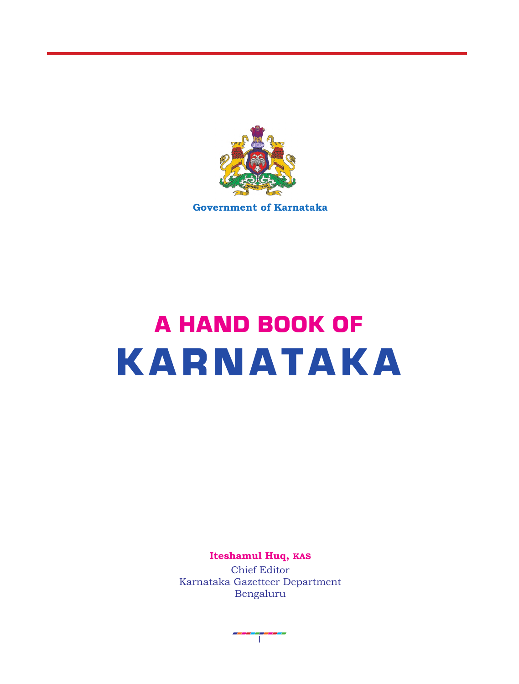

**Government of Karnataka**

# A HAND BOOK OF KARNATAKA

**Iteshamul Huq, KAS**

Chief Editor Karnataka Gazetteer Department Bengaluru

T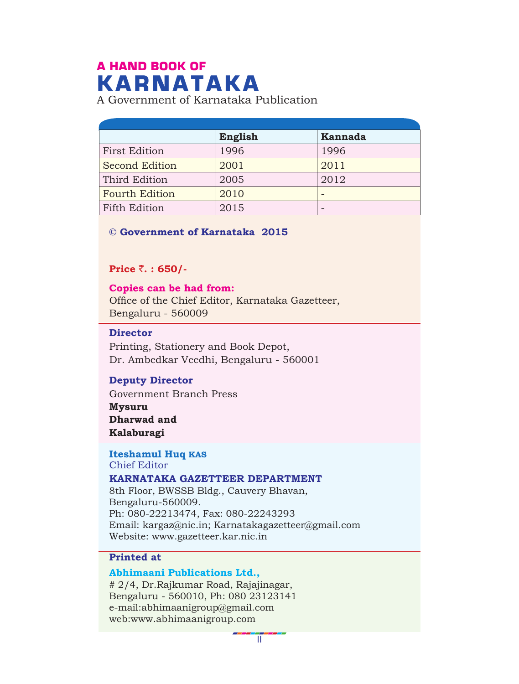# A HAND BOOK OF KARNATAKA

A Government of Karnataka Publication

|                       | English | <b>Kannada</b> |
|-----------------------|---------|----------------|
| <b>First Edition</b>  | 1996    | 1996           |
| <b>Second Edition</b> | 2001    | 2011           |
| Third Edition         | 2005    | 2012           |
| <b>Fourth Edition</b> | 2010    |                |
| <b>Fifth Edition</b>  | 2015    |                |

#### **© Government of Karnataka 2015**

**Price** `**. : 650/-**

Office of the Chief Editor, Karnataka Gazetteer, Bengaluru - 560009 **Copies can be had from:**

### **Director**

Printing, Stationery and Book Depot, Dr. Ambedkar Veedhi, Bengaluru - 560001

### **Deputy Director**

Government Branch Press

**Mysuru Dharwad and Kalaburagi**

#### Chief Editor **Iteshamul Huq KAS**

#### **KARNATAKA GAZETTEER DEPARTMENT**

8th Floor, BWSSB Bldg., Cauvery Bhavan, Bengaluru-560009. Ph: 080-22213474, Fax: 080-22243293 Email: kargaz@nic.in; Karnatakagazetteer@gmail.com Website: www.gazetteer.kar.nic.in

#### **Printed at**

#### **Abhimaani Publications Ltd.,**

# 2/4, Dr.Rajkumar Road, Rajajinagar, Bengaluru - 560010, Ph: 080 23123141 e-mail:abhimaanigroup@gmail.com web:www.abhimaanigroup.com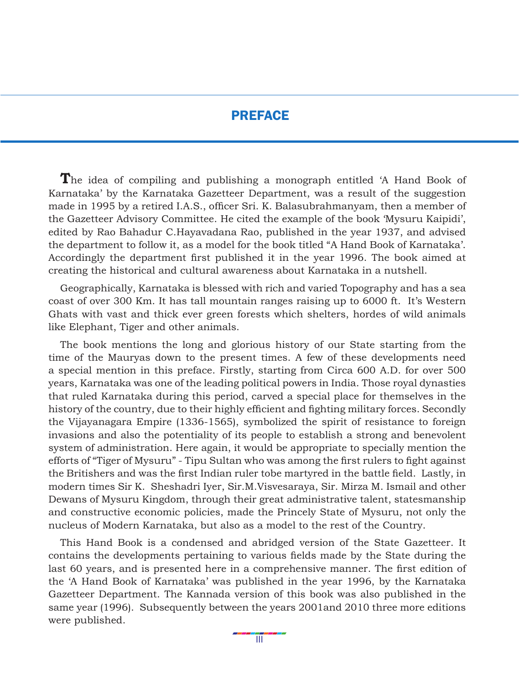### PREFACE

The idea of compiling and publishing a monograph entitled 'A Hand Book of Karnataka' by the Karnataka Gazetteer Department, was a result of the suggestion made in 1995 by a retired I.A.S., officer Sri. K. Balasubrahmanyam, then a member of the Gazetteer Advisory Committee. He cited the example of the book 'Mysuru Kaipidi', edited by Rao Bahadur C.Hayavadana Rao, published in the year 1937, and advised the department to follow it, as a model for the book titled "A Hand Book of Karnataka'. Accordingly the department first published it in the year 1996. The book aimed at creating the historical and cultural awareness about Karnataka in a nutshell.

Geographically, Karnataka is blessed with rich and varied Topography and has a sea coast of over 300 Km. It has tall mountain ranges raising up to 6000 ft. It's Western Ghats with vast and thick ever green forests which shelters, hordes of wild animals like Elephant, Tiger and other animals.

The book mentions the long and glorious history of our State starting from the time of the Mauryas down to the present times. A few of these developments need a special mention in this preface. Firstly, starting from Circa 600 A.D. for over 500 years, Karnataka was one of the leading political powers in India. Those royal dynasties that ruled Karnataka during this period, carved a special place for themselves in the history of the country, due to their highly efficient and fighting military forces. Secondly the Vijayanagara Empire (1336-1565), symbolized the spirit of resistance to foreign invasions and also the potentiality of its people to establish a strong and benevolent system of administration. Here again, it would be appropriate to specially mention the efforts of "Tiger of Mysuru" - Tipu Sultan who was among the first rulers to fight against the Britishers and was the first Indian ruler tobe martyred in the battle field. Lastly, in modern times Sir K. Sheshadri Iyer, Sir.M.Visvesaraya, Sir. Mirza M. Ismail and other Dewans of Mysuru Kingdom, through their great administrative talent, statesmanship and constructive economic policies, made the Princely State of Mysuru, not only the nucleus of Modern Karnataka, but also as a model to the rest of the Country.

This Hand Book is a condensed and abridged version of the State Gazetteer. It contains the developments pertaining to various fields made by the State during the last 60 years, and is presented here in a comprehensive manner. The first edition of the 'A Hand Book of Karnataka' was published in the year 1996, by the Karnataka Gazetteer Department. The Kannada version of this book was also published in the same year (1996). Subsequently between the years 2001and 2010 three more editions were published.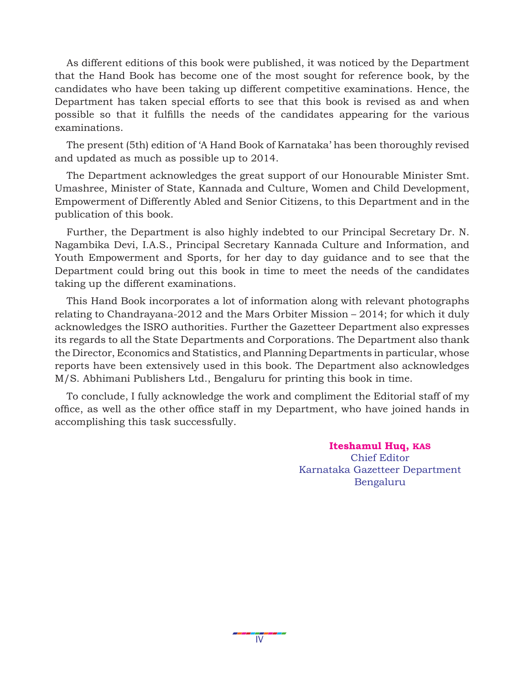As different editions of this book were published, it was noticed by the Department that the Hand Book has become one of the most sought for reference book, by the candidates who have been taking up different competitive examinations. Hence, the Department has taken special efforts to see that this book is revised as and when possible so that it fulfills the needs of the candidates appearing for the various examinations.

The present (5th) edition of 'A Hand Book of Karnataka' has been thoroughly revised and updated as much as possible up to 2014.

The Department acknowledges the great support of our Honourable Minister Smt. Umashree, Minister of State, Kannada and Culture, Women and Child Development, Empowerment of Differently Abled and Senior Citizens, to this Department and in the publication of this book.

Further, the Department is also highly indebted to our Principal Secretary Dr. N. Nagambika Devi, I.A.S., Principal Secretary Kannada Culture and Information, and Youth Empowerment and Sports, for her day to day guidance and to see that the Department could bring out this book in time to meet the needs of the candidates taking up the different examinations.

This Hand Book incorporates a lot of information along with relevant photographs relating to Chandrayana-2012 and the Mars Orbiter Mission – 2014; for which it duly acknowledges the ISRO authorities. Further the Gazetteer Department also expresses its regards to all the State Departments and Corporations. The Department also thank the Director, Economics and Statistics, and Planning Departments in particular, whose reports have been extensively used in this book. The Department also acknowledges M/S. Abhimani Publishers Ltd., Bengaluru for printing this book in time.

To conclude, I fully acknowledge the work and compliment the Editorial staff of my office, as well as the other office staff in my Department, who have joined hands in accomplishing this task successfully.

> **Iteshamul Huq, KAS** Chief Editor Karnataka Gazetteer Department Bengaluru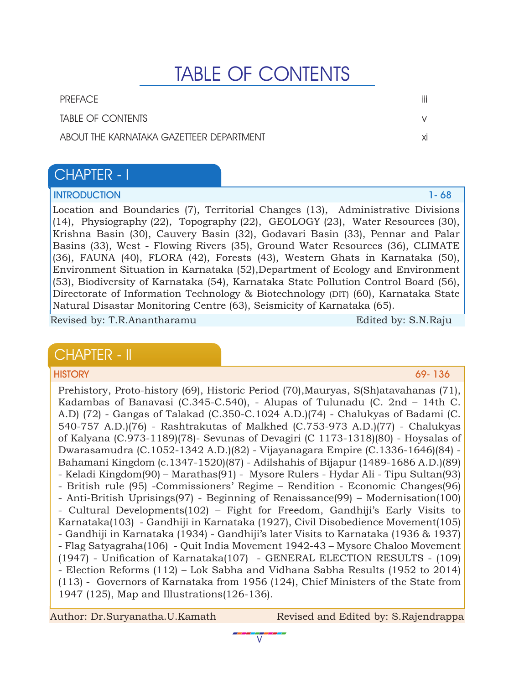# TABLE OF CONTENTS

PREFACE iii TABLE OF CONTENTS v ABOUT THE KARNATAKA GAZETTEER DEPARTMENT **ximitation of the state of the state of the state of the state of the state of the state of the state of the state of the state of the state of the state of the state of the state** 

# CHAPTER - I

### **INTRODUCTION** 1- 68

Location and Boundaries (7), Territorial Changes (13), Administrative Divisions (14), Physiography (22), Topography (22), GEOLOGY (23), Water Resources (30), Krishna Basin (30), Cauvery Basin (32), Godavari Basin (33), Pennar and Palar Basins (33), West - Flowing Rivers (35), Ground Water Resources (36), CLIMATE (36), FAUNA (40), FLORA (42), Forests (43), Western Ghats in Karnataka (50), Environment Situation in Karnataka (52),Department of Ecology and Environment (53), Biodiversity of Karnataka (54), Karnataka State Pollution Control Board (56), Directorate of Information Technology & Biotechnology (DIT) (60), Karnataka State Natural Disastar Monitoring Centre (63), Seismicity of Karnataka (65).

Revised by: T.R.Anantharamu Edited by: S.N.Raju

# CHAPTER - II

#### HISTORY 69- 136

Prehistory, Proto-history (69), Historic Period (70),Mauryas, S(Sh)atavahanas (71), Kadambas of Banavasi (C.345-C.540), - Alupas of Tulunadu (C. 2nd – 14th C. A.D) (72) - Gangas of Talakad (C.350-C.1024 A.D.)(74) - Chalukyas of Badami (C. 540-757 A.D.)(76) - Rashtrakutas of Malkhed (C.753-973 A.D.)(77) - Chalukyas of Kalyana (C.973-1189)(78)- Sevunas of Devagiri (C 1173-1318)(80) - Hoysalas of Dwarasamudra (C.1052-1342 A.D.)(82) - Vijayanagara Empire (C.1336-1646)(84) - Bahamani Kingdom (c.1347-1520)(87) - Adilshahis of Bijapur (1489-1686 A.D.)(89) - Keladi Kingdom(90) – Marathas(91) - Mysore Rulers - Hydar Ali - Tipu Sultan(93) - British rule (95) -Commissioners' Regime – Rendition - Economic Changes(96) - Anti-British Uprisings(97) - Beginning of Renaissance(99) – Modernisation(100) - Cultural Developments(102) – Fight for Freedom, Gandhiji's Early Visits to Karnataka(103) - Gandhiji in Karnataka (1927), Civil Disobedience Movement(105) - Gandhiji in Karnataka (1934) - Gandhiji's later Visits to Karnataka (1936 & 1937) - Flag Satyagraha(106) - Quit India Movement 1942-43 – Mysore Chaloo Movement (1947) - Unification of Karnataka(107) - GENERAL ELECTION RESULTS - (109) - Election Reforms (112) – Lok Sabha and Vidhana Sabha Results (1952 to 2014) (113) - Governors of Karnataka from 1956 (124), Chief Ministers of the State from 1947 (125), Map and Illustrations(126-136).

 $\overline{\text{V}}$ 

Author: Dr.Suryanatha.U.Kamath Revised and Edited by: S.Rajendrappa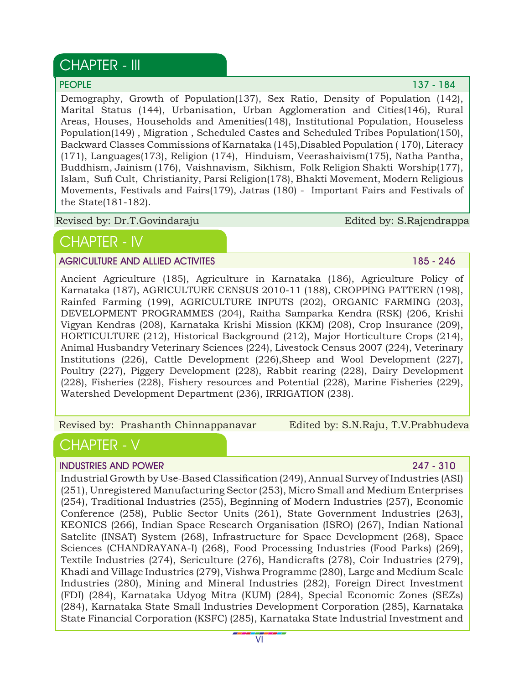# CHAPTER - III

PEOPLE **137 - 184** 

Demography, Growth of Population(137), Sex Ratio, Density of Population (142), Marital Status (144), Urbanisation, Urban Agglomeration and Cities(146), Rural Areas, Houses, Households and Amenities(148), Institutional Population, Houseless Population(149) , Migration , Scheduled Castes and Scheduled Tribes Population(150), Backward Classes Commissions of Karnataka (145),Disabled Population ( 170), Literacy (171), Languages(173), Religion (174), Hinduism, Veerashaivism(175), Natha Pantha, Buddhism, Jainism (176), Vaishnavism, Sikhism, Folk Religion Shakti Worship(177), Islam, Sufi Cult, Christianity, Parsi Religion(178), Bhakti Movement, Modern Religious Movements, Festivals and Fairs(179), Jatras (180) - Important Fairs and Festivals of the State(181-182).

Revised by: Dr.T.Govindaraju

Edited by: S.Rajendrappa

# CHAPTER - IV

#### AGRICULTURE AND ALLIED ACTIVITES **185 - 246**

Ancient Agriculture (185), Agriculture in Karnataka (186), Agriculture Policy of Karnataka (187), AGRICULTURE CENSUS 2010-11 (188), CROPPING PATTERN (198), Rainfed Farming (199), AGRICULTURE INPUTS (202), ORGANIC FARMING (203), DEVELOPMENT PROGRAMMES (204), Raitha Samparka Kendra (RSK) (206, Krishi Vigyan Kendras (208), Karnataka Krishi Mission (KKM) (208), Crop Insurance (209), HORTICULTURE (212), Historical Background (212), Major Horticulture Crops (214), Animal Husbandry Veterinary Sciences (224), Livestock Census 2007 (224), Veterinary Institutions (226), Cattle Development (226),Sheep and Wool Development (227), Poultry (227), Piggery Development (228), Rabbit rearing (228), Dairy Development (228), Fisheries (228), Fishery resources and Potential (228), Marine Fisheries (229), Watershed Development Department (236), IRRIGATION (238).

Revised by: Prashanth Chinnappanavar

Edited by: S.N.Raju, T.V.Prabhudeva

# CHAPTER - V

### INDUSTRIES AND POWER 247 - 310

Industrial Growth by Use-Based Classification (249), Annual Survey of Industries (ASI) (251), Unregistered Manufacturing Sector (253), Micro Small and Medium Enterprises (254), Traditional Industries (255), Beginning of Modern Industries (257), Economic Conference (258), Public Sector Units (261), State Government Industries (263), KEONICS (266), Indian Space Research Organisation (ISRO) (267), Indian National Satelite (INSAT) System (268), Infrastructure for Space Development (268), Space Sciences (CHANDRAYANA-I) (268), Food Processing Industries (Food Parks) (269), Textile Industries (274), Sericulture (276), Handicrafts (278), Coir Industries (279), Khadi and Village Industries (279), Vishwa Programme (280), Large and Medium Scale Industries (280), Mining and Mineral Industries (282), Foreign Direct Investment (FDI) (284), Karnataka Udyog Mitra (KUM) (284), Special Economic Zones (SEZs) (284), Karnataka State Small Industries Development Corporation (285), Karnataka State Financial Corporation (KSFC) (285), Karnataka State Industrial Investment and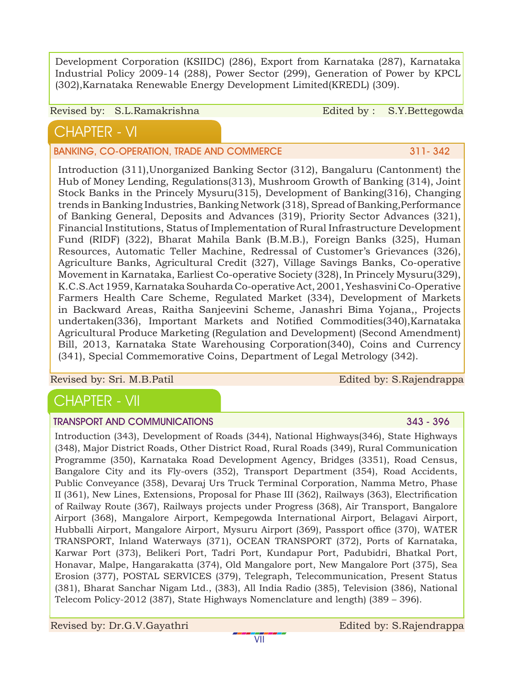Development Corporation (KSIIDC) (286), Export from Karnataka (287), Karnataka Industrial Policy 2009-14 (288), Power Sector (299), Generation of Power by KPCL (302),Karnataka Renewable Energy Development Limited(KREDL) (309).

#### Revised by: S.L.Ramakrishna Edited by: S.Y.Bettegowda

# CHAPTER - VI

BANKING, CO-OPERATION, TRADE AND COMMERCE **AND COMMERCE** 311-342

Introduction (311),Unorganized Banking Sector (312), Bangaluru (Cantonment) the Hub of Money Lending, Regulations(313), Mushroom Growth of Banking (314), Joint Stock Banks in the Princely Mysuru(315), Development of Banking(316), Changing trends in Banking Industries, Banking Network (318), Spread of Banking,Performance of Banking General, Deposits and Advances (319), Priority Sector Advances (321), Financial Institutions, Status of Implementation of Rural Infrastructure Development Fund (RIDF) (322), Bharat Mahila Bank (B.M.B.), Foreign Banks (325), Human Resources, Automatic Teller Machine, Redressal of Customer's Grievances (326), Agriculture Banks, Agricultural Credit (327), Village Savings Banks, Co-operative Movement in Karnataka, Earliest Co-operative Society (328), In Princely Mysuru(329), K.C.S.Act 1959, Karnataka Souharda Co-operative Act, 2001, Yeshasvini Co-Operative Farmers Health Care Scheme, Regulated Market (334), Development of Markets in Backward Areas, Raitha Sanjeevini Scheme, Janashri Bima Yojana,, Projects undertaken(336), Important Markets and Notified Commodities(340),Karnataka Agricultural Produce Marketing (Regulation and Development) (Second Amendment) Bill, 2013, Karnataka State Warehousing Corporation(340), Coins and Currency (341), Special Commemorative Coins, Department of Legal Metrology (342).

Revised by: Sri. M.B.Patil Edited by: S.Rajendrappa

# CHAPTER - VII

### TRANSPORT AND COMMUNICATIONS 343 - 396

Introduction (343), Development of Roads (344), National Highways(346), State Highways (348), Major District Roads, Other District Road, Rural Roads (349), Rural Communication Programme (350), Karnataka Road Development Agency, Bridges (3351), Road Census, Bangalore City and its Fly-overs (352), Transport Department (354), Road Accidents, Public Conveyance (358), Devaraj Urs Truck Terminal Corporation, Namma Metro, Phase II (361), New Lines, Extensions, Proposal for Phase III (362), Railways (363), Electrification of Railway Route (367), Railways projects under Progress (368), Air Transport, Bangalore Airport (368), Mangalore Airport, Kempegowda International Airport, Belagavi Airport, Hubballi Airport, Mangalore Airport, Mysuru Airport (369), Passport office (370), WATER TRANSPORT, Inland Waterways (371), OCEAN TRANSPORT (372), Ports of Karnataka, Karwar Port (373), Belikeri Port, Tadri Port, Kundapur Port, Padubidri, Bhatkal Port, Honavar, Malpe, Hangarakatta (374), Old Mangalore port, New Mangalore Port (375), Sea Erosion (377), POSTAL SERVICES (379), Telegraph, Telecommunication, Present Status (381), Bharat Sanchar Nigam Ltd., (383), All India Radio (385), Television (386), National Telecom Policy-2012 (387), State Highways Nomenclature and length) (389 – 396).

Revised by: Dr.G.V.Gayathri Edited by: S.Rajendrappa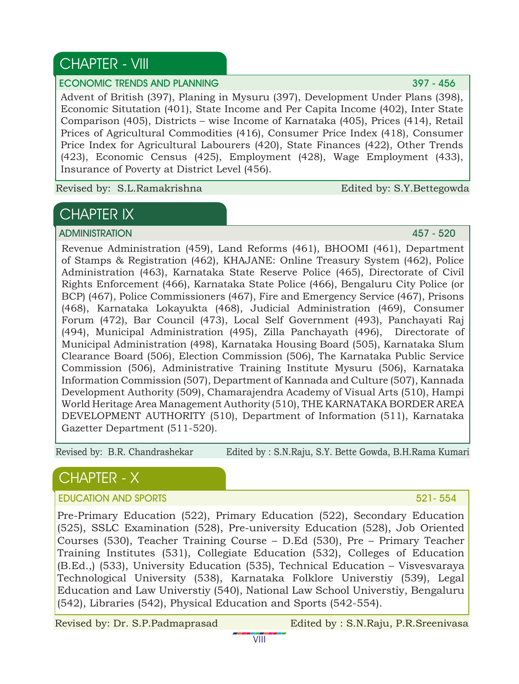# CHAPTER - VIII

#### ECONOMIC TRENDS AND PLANNING 397 - 456

Advent of British (397), Planing in Mysuru (397), Development Under Plans (398), Economic Situtation (401), State Income and Per Capita Income (402), Inter State Comparison (405), Districts – wise Income of Karnataka (405), Prices (414), Retail Prices of Agricultural Commodities (416), Consumer Price Index (418), Consumer Price Index for Agricultural Labourers (420), State Finances (422), Other Trends (423), Economic Census (425), Employment (428), Wage Employment (433), Insurance of Poverty at District Level (456).

Revised by: S.L.Ramakrishna Edited by: S.Y.Bettegowda

# CHAPTER IX

ADMINISTRATION 457 - 520

Revenue Administration (459), Land Reforms (461), BHOOMI (461), Department of Stamps & Registration (462), KHAJANE: Online Treasury System (462), Police Administration (463), Karnataka State Reserve Police (465), Directorate of Civil Rights Enforcement (466), Karnataka State Police (466), Bengaluru City Police (or BCP) (467), Police Commissioners (467), Fire and Emergency Service (467), Prisons (468), Karnataka Lokayukta (468), Judicial Administration (469), Consumer Forum (472), Bar Council (473), Local Self Government (493), Panchayati Raj (494), Municipal Administration (495), Zilla Panchayath (496), Directorate of Municipal Administration (498), Karnataka Housing Board (505), Karnataka Slum Clearance Board (506), Election Commission (506), The Karnataka Public Service Commission (506), Administrative Training Institute Mysuru (506), Karnataka Information Commission (507), Department of Kannada and Culture (507), Kannada Development Authority (509), Chamarajendra Academy of Visual Arts (510), Hampi World Heritage Area Management Authority (510), THE KARNATAKA BORDER AREA DEVELOPMENT AUTHORITY (510), Department of Information (511), Karnataka Gazetter Department (511-520).

Revised by: B.R. Chandrashekar Edited by : S.N.Raju, S.Y. Bette Gowda, B.H.Rama Kumari

# CHAPTER - X

### EDUCATION AND SPORTS **521-554**

Pre-Primary Education (522), Primary Education (522), Secondary Education (525), SSLC Examination (528), Pre-university Education (528), Job Oriented Courses (530), Teacher Training Course – D.Ed (530), Pre – Primary Teacher Training Institutes (531), Collegiate Education (532), Colleges of Education (B.Ed.,) (533), University Education (535), Technical Education – Visvesvaraya Technological University (538), Karnataka Folklore Universtiy (539), Legal Education and Law Universtiy (540), National Law School Universtiy, Bengaluru (542), Libraries (542), Physical Education and Sports (542-554).

Revised by: Dr. S.P.Padmaprasad Edited by : S.N.Raju, P.R.Sreenivasa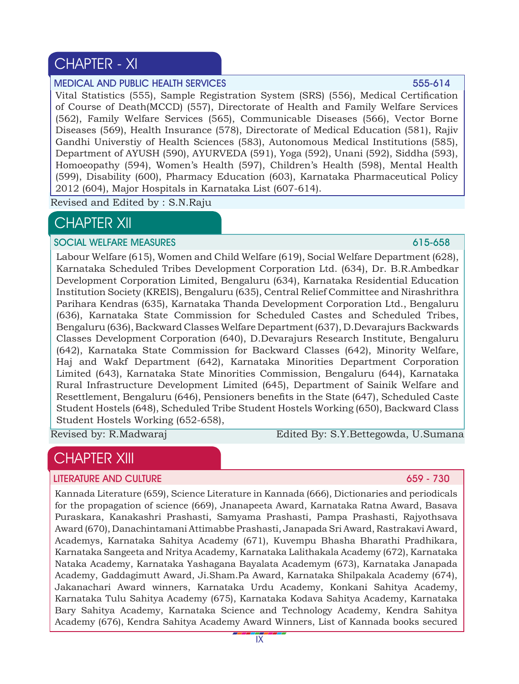# CHAPTER - XI

#### MEDICAL AND PUBLIC HEALTH SERVICES 555-614

Vital Statistics (555), Sample Registration System (SRS) (556), Medical Certification of Course of Death(MCCD) (557), Directorate of Health and Family Welfare Services (562), Family Welfare Services (565), Communicable Diseases (566), Vector Borne Diseases (569), Health Insurance (578), Directorate of Medical Education (581), Rajiv Gandhi Universtiy of Health Sciences (583), Autonomous Medical Institutions (585), Department of AYUSH (590), AYURVEDA (591), Yoga (592), Unani (592), Siddha (593), Homoeopathy (594), Women's Health (597), Children's Health (598), Mental Health (599), Disability (600), Pharmacy Education (603), Karnataka Pharmaceutical Policy 2012 (604), Major Hospitals in Karnataka List (607-614).

Revised and Edited by : S.N.Raju

# **CHAPTER XII**

#### SOCIAL WELFARE MEASURES **615-658**

Labour Welfare (615), Women and Child Welfare (619), Social Welfare Department (628), Karnataka Scheduled Tribes Development Corporation Ltd. (634), Dr. B.R.Ambedkar Development Corporation Limited, Bengaluru (634), Karnataka Residential Education Institution Society (KREIS), Bengaluru (635), Central Relief Committee and Nirashrithra Parihara Kendras (635), Karnataka Thanda Development Corporation Ltd., Bengaluru (636), Karnataka State Commission for Scheduled Castes and Scheduled Tribes, Bengaluru (636), Backward Classes Welfare Department (637), D.Devarajurs Backwards Classes Development Corporation (640), D.Devarajurs Research Institute, Bengaluru (642), Karnataka State Commission for Backward Classes (642), Minority Welfare, Haj and Wakf Department (642), Karnataka Minorities Department Corporation Limited (643), Karnataka State Minorities Commission, Bengaluru (644), Karnataka Rural Infrastructure Development Limited (645), Department of Sainik Welfare and Resettlement, Bengaluru (646), Pensioners benefits in the State (647), Scheduled Caste Student Hostels (648), Scheduled Tribe Student Hostels Working (650), Backward Class Student Hostels Working (652-658),

Revised by: R.Madwaraj Edited By: S.Y.Bettegowda, U.Sumana

# CHAPTER XIII

#### LITERATURE AND CULTURE 659 - 730 AM AND CULTURE 659 - 730 AM ANN 100 AM ANN 100 AM ANN 100 AM ANN 100 AM ANN 1

Kannada Literature (659), Science Literature in Kannada (666), Dictionaries and periodicals for the propagation of science (669), Jnanapeeta Award, Karnataka Ratna Award, Basava Puraskara, Kanakashri Prashasti, Samyama Prashasti, Pampa Prashasti, Rajyothsava Award (670), Danachintamani Attimabbe Prashasti, Janapada Sri Award, Rastrakavi Award, Academys, Karnataka Sahitya Academy (671), Kuvempu Bhasha Bharathi Pradhikara, Karnataka Sangeeta and Nritya Academy, Karnataka Lalithakala Academy (672), Karnataka Nataka Academy, Karnataka Yashagana Bayalata Academym (673), Karnataka Janapada Academy, Gaddagimutt Award, Ji.Sham.Pa Award, Karnataka Shilpakala Academy (674), Jakanachari Award winners, Karnataka Urdu Academy, Konkani Sahitya Academy, Karnataka Tulu Sahitya Academy (675), Karnataka Kodava Sahitya Academy, Karnataka Bary Sahitya Academy, Karnataka Science and Technology Academy, Kendra Sahitya Academy (676), Kendra Sahitya Academy Award Winners, List of Kannada books secured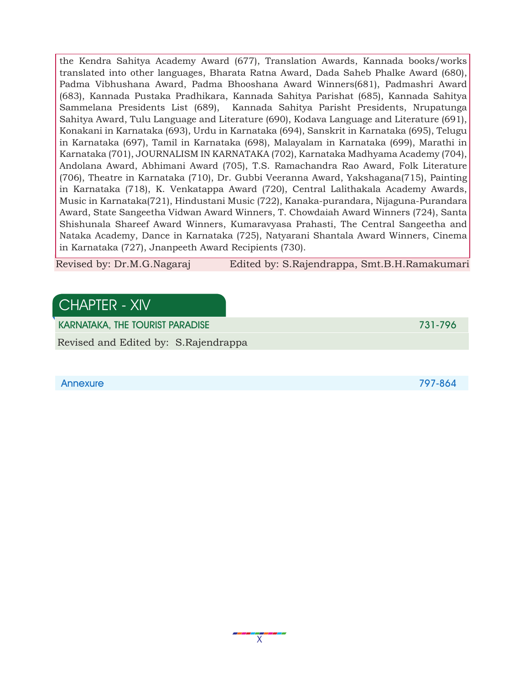the Kendra Sahitya Academy Award (677), Translation Awards, Kannada books/works translated into other languages, Bharata Ratna Award, Dada Saheb Phalke Award (680), Padma Vibhushana Award, Padma Bhooshana Award Winners(681), Padmashri Award (683), Kannada Pustaka Pradhikara, Kannada Sahitya Parishat (685), Kannada Sahitya Sammelana Presidents List (689), Kannada Sahitya Parisht Presidents, Nrupatunga Sahitya Award, Tulu Language and Literature (690), Kodava Language and Literature (691), Konakani in Karnataka (693), Urdu in Karnataka (694), Sanskrit in Karnataka (695), Telugu in Karnataka (697), Tamil in Karnataka (698), Malayalam in Karnataka (699), Marathi in Karnataka (701), JOURNALISM IN KARNATAKA (702), Karnataka Madhyama Academy (704), Andolana Award, Abhimani Award (705), T.S. Ramachandra Rao Award, Folk Literature (706), Theatre in Karnataka (710), Dr. Gubbi Veeranna Award, Yakshagana(715), Painting in Karnataka (718), K. Venkatappa Award (720), Central Lalithakala Academy Awards, Music in Karnataka(721), Hindustani Music (722), Kanaka-purandara, Nijaguna-Purandara Award, State Sangeetha Vidwan Award Winners, T. Chowdaiah Award Winners (724), Santa Shishunala Shareef Award Winners, Kumaravyasa Prahasti, The Central Sangeetha and Nataka Academy, Dance in Karnataka (725), Natyarani Shantala Award Winners, Cinema in Karnataka (727), Jnanpeeth Award Recipients (730).

Revised by: Dr.M.G.Nagaraj Edited by: S.Rajendrappa, Smt.B.H.Ramakumari

## CHAPTER - XIV

KARNATAKA, THE TOURIST PARADISE 731-796 (1999) 2004 12:00 13:00 13:00 13:00 13:00 14:00 14:00 14:00 14:00 14:0

Revised and Edited by: S.Rajendrappa

Annexure 797-864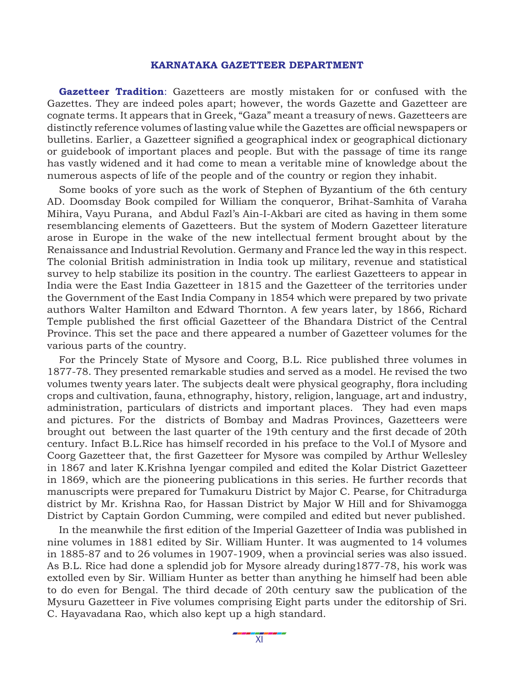#### **KARNATAKA GAZETTEER DEPARTMENT**

**Gazetteer Tradition**: Gazetteers are mostly mistaken for or confused with the Gazettes. They are indeed poles apart; however, the words Gazette and Gazetteer are cognate terms. It appears that in Greek, "Gaza" meant a treasury of news. Gazetteers are distinctly reference volumes of lasting value while the Gazettes are official newspapers or bulletins. Earlier, a Gazetteer signified a geographical index or geographical dictionary or guidebook of important places and people. But with the passage of time its range has vastly widened and it had come to mean a veritable mine of knowledge about the numerous aspects of life of the people and of the country or region they inhabit.

Some books of yore such as the work of Stephen of Byzantium of the 6th century AD. Doomsday Book compiled for William the conqueror, Brihat-Samhita of Varaha Mihira, Vayu Purana, and Abdul Fazl's Ain-I-Akbari are cited as having in them some resemblancing elements of Gazetteers. But the system of Modern Gazetteer literature arose in Europe in the wake of the new intellectual ferment brought about by the Renaissance and Industrial Revolution. Germany and France led the way in this respect. The colonial British administration in India took up military, revenue and statistical survey to help stabilize its position in the country. The earliest Gazetteers to appear in India were the East India Gazetteer in 1815 and the Gazetteer of the territories under the Government of the East India Company in 1854 which were prepared by two private authors Walter Hamilton and Edward Thornton. A few years later, by 1866, Richard Temple published the first official Gazetteer of the Bhandara District of the Central Province. This set the pace and there appeared a number of Gazetteer volumes for the various parts of the country.

For the Princely State of Mysore and Coorg, B.L. Rice published three volumes in 1877-78. They presented remarkable studies and served as a model. He revised the two volumes twenty years later. The subjects dealt were physical geography, flora including crops and cultivation, fauna, ethnography, history, religion, language, art and industry, administration, particulars of districts and important places. They had even maps and pictures. For the districts of Bombay and Madras Provinces, Gazetteers were brought out between the last quarter of the 19th century and the first decade of 20th century. Infact B.L.Rice has himself recorded in his preface to the Vol.I of Mysore and Coorg Gazetteer that, the first Gazetteer for Mysore was compiled by Arthur Wellesley in 1867 and later K.Krishna Iyengar compiled and edited the Kolar District Gazetteer in 1869, which are the pioneering publications in this series. He further records that manuscripts were prepared for Tumakuru District by Major C. Pearse, for Chitradurga district by Mr. Krishna Rao, for Hassan District by Major W Hill and for Shivamogga District by Captain Gordon Cumming, were compiled and edited but never published.

In the meanwhile the first edition of the Imperial Gazetteer of India was published in nine volumes in 1881 edited by Sir. William Hunter. It was augmented to 14 volumes in 1885-87 and to 26 volumes in 1907-1909, when a provincial series was also issued. As B.L. Rice had done a splendid job for Mysore already during1877-78, his work was extolled even by Sir. William Hunter as better than anything he himself had been able to do even for Bengal. The third decade of 20th century saw the publication of the Mysuru Gazetteer in Five volumes comprising Eight parts under the editorship of Sri. C. Hayavadana Rao, which also kept up a high standard.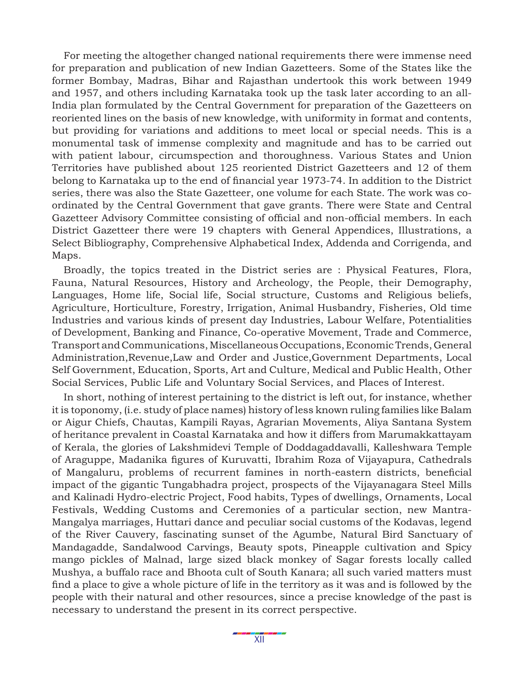For meeting the altogether changed national requirements there were immense need for preparation and publication of new Indian Gazetteers. Some of the States like the former Bombay, Madras, Bihar and Rajasthan undertook this work between 1949 and 1957, and others including Karnataka took up the task later according to an all-India plan formulated by the Central Government for preparation of the Gazetteers on reoriented lines on the basis of new knowledge, with uniformity in format and contents, but providing for variations and additions to meet local or special needs. This is a monumental task of immense complexity and magnitude and has to be carried out with patient labour, circumspection and thoroughness. Various States and Union Territories have published about 125 reoriented District Gazetteers and 12 of them belong to Karnataka up to the end of financial year 1973-74. In addition to the District series, there was also the State Gazetteer, one volume for each State. The work was coordinated by the Central Government that gave grants. There were State and Central Gazetteer Advisory Committee consisting of official and non-official members. In each District Gazetteer there were 19 chapters with General Appendices, Illustrations, a Select Bibliography, Comprehensive Alphabetical Index, Addenda and Corrigenda, and Maps.

Broadly, the topics treated in the District series are : Physical Features, Flora, Fauna, Natural Resources, History and Archeology, the People, their Demography, Languages, Home life, Social life, Social structure, Customs and Religious beliefs, Agriculture, Horticulture, Forestry, Irrigation, Animal Husbandry, Fisheries, Old time Industries and various kinds of present day Industries, Labour Welfare, Potentialities of Development, Banking and Finance, Co-operative Movement, Trade and Commerce, Transport and Communications, Miscellaneous Occupations, Economic Trends, General Administration,Revenue,Law and Order and Justice,Government Departments, Local Self Government, Education, Sports, Art and Culture, Medical and Public Health, Other Social Services, Public Life and Voluntary Social Services, and Places of Interest.

In short, nothing of interest pertaining to the district is left out, for instance, whether it is toponomy, (i.e. study of place names) history of less known ruling families like Balam or Aigur Chiefs, Chautas, Kampili Rayas, Agrarian Movements, Aliya Santana System of heritance prevalent in Coastal Karnataka and how it differs from Marumakkattayam of Kerala, the glories of Lakshmidevi Temple of Doddagaddavalli, Kalleshwara Temple of Araguppe, Madanika figures of Kuruvatti, Ibrahim Roza of Vijayapura, Cathedrals of Mangaluru, problems of recurrent famines in north-eastern districts, beneficial impact of the gigantic Tungabhadra project, prospects of the Vijayanagara Steel Mills and Kalinadi Hydro-electric Project, Food habits, Types of dwellings, Ornaments, Local Festivals, Wedding Customs and Ceremonies of a particular section, new Mantra-Mangalya marriages, Huttari dance and peculiar social customs of the Kodavas, legend of the River Cauvery, fascinating sunset of the Agumbe, Natural Bird Sanctuary of Mandagadde, Sandalwood Carvings, Beauty spots, Pineapple cultivation and Spicy mango pickles of Malnad, large sized black monkey of Sagar forests locally called Mushya, a buffalo race and Bhoota cult of South Kanara; all such varied matters must find a place to give a whole picture of life in the territory as it was and is followed by the people with their natural and other resources, since a precise knowledge of the past is necessary to understand the present in its correct perspective.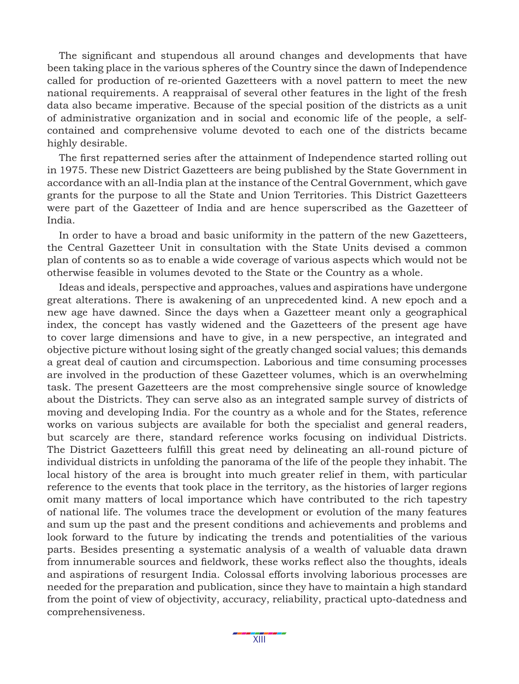The significant and stupendous all around changes and developments that have been taking place in the various spheres of the Country since the dawn of Independence called for production of re-oriented Gazetteers with a novel pattern to meet the new national requirements. A reappraisal of several other features in the light of the fresh data also became imperative. Because of the special position of the districts as a unit of administrative organization and in social and economic life of the people, a selfcontained and comprehensive volume devoted to each one of the districts became highly desirable.

The first repatterned series after the attainment of Independence started rolling out in 1975. These new District Gazetteers are being published by the State Government in accordance with an all-India plan at the instance of the Central Government, which gave grants for the purpose to all the State and Union Territories. This District Gazetteers were part of the Gazetteer of India and are hence superscribed as the Gazetteer of India.

In order to have a broad and basic uniformity in the pattern of the new Gazetteers, the Central Gazetteer Unit in consultation with the State Units devised a common plan of contents so as to enable a wide coverage of various aspects which would not be otherwise feasible in volumes devoted to the State or the Country as a whole.

Ideas and ideals, perspective and approaches, values and aspirations have undergone great alterations. There is awakening of an unprecedented kind. A new epoch and a new age have dawned. Since the days when a Gazetteer meant only a geographical index, the concept has vastly widened and the Gazetteers of the present age have to cover large dimensions and have to give, in a new perspective, an integrated and objective picture without losing sight of the greatly changed social values; this demands a great deal of caution and circumspection. Laborious and time consuming processes are involved in the production of these Gazetteer volumes, which is an overwhelming task. The present Gazetteers are the most comprehensive single source of knowledge about the Districts. They can serve also as an integrated sample survey of districts of moving and developing India. For the country as a whole and for the States, reference works on various subjects are available for both the specialist and general readers, but scarcely are there, standard reference works focusing on individual Districts. The District Gazetteers fulfill this great need by delineating an all-round picture of individual districts in unfolding the panorama of the life of the people they inhabit. The local history of the area is brought into much greater relief in them, with particular reference to the events that took place in the territory, as the histories of larger regions omit many matters of local importance which have contributed to the rich tapestry of national life. The volumes trace the development or evolution of the many features and sum up the past and the present conditions and achievements and problems and look forward to the future by indicating the trends and potentialities of the various parts. Besides presenting a systematic analysis of a wealth of valuable data drawn from innumerable sources and fieldwork, these works reflect also the thoughts, ideals and aspirations of resurgent India. Colossal efforts involving laborious processes are needed for the preparation and publication, since they have to maintain a high standard from the point of view of objectivity, accuracy, reliability, practical upto-datedness and comprehensiveness.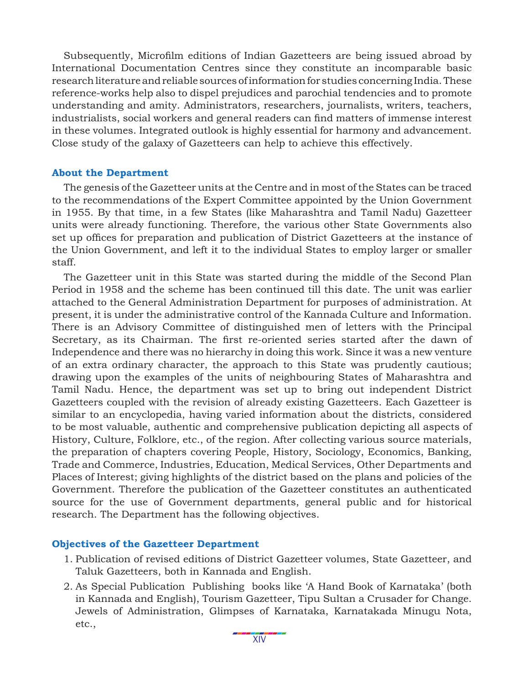Subsequently, Microfilm editions of Indian Gazetteers are being issued abroad by International Documentation Centres since they constitute an incomparable basic research literature and reliable sources of information for studies concerning India. These reference-works help also to dispel prejudices and parochial tendencies and to promote understanding and amity. Administrators, researchers, journalists, writers, teachers, industrialists, social workers and general readers can find matters of immense interest in these volumes. Integrated outlook is highly essential for harmony and advancement. Close study of the galaxy of Gazetteers can help to achieve this effectively.

#### **About the Department**

The genesis of the Gazetteer units at the Centre and in most of the States can be traced to the recommendations of the Expert Committee appointed by the Union Government in 1955. By that time, in a few States (like Maharashtra and Tamil Nadu) Gazetteer units were already functioning. Therefore, the various other State Governments also set up offices for preparation and publication of District Gazetteers at the instance of the Union Government, and left it to the individual States to employ larger or smaller staff.

The Gazetteer unit in this State was started during the middle of the Second Plan Period in 1958 and the scheme has been continued till this date. The unit was earlier attached to the General Administration Department for purposes of administration. At present, it is under the administrative control of the Kannada Culture and Information. There is an Advisory Committee of distinguished men of letters with the Principal Secretary, as its Chairman. The first re-oriented series started after the dawn of Independence and there was no hierarchy in doing this work. Since it was a new venture of an extra ordinary character, the approach to this State was prudently cautious; drawing upon the examples of the units of neighbouring States of Maharashtra and Tamil Nadu. Hence, the department was set up to bring out independent District Gazetteers coupled with the revision of already existing Gazetteers. Each Gazetteer is similar to an encyclopedia, having varied information about the districts, considered to be most valuable, authentic and comprehensive publication depicting all aspects of History, Culture, Folklore, etc., of the region. After collecting various source materials, the preparation of chapters covering People, History, Sociology, Economics, Banking, Trade and Commerce, Industries, Education, Medical Services, Other Departments and Places of Interest; giving highlights of the district based on the plans and policies of the Government. Therefore the publication of the Gazetteer constitutes an authenticated source for the use of Government departments, general public and for historical research. The Department has the following objectives.

#### **Objectives of the Gazetteer Department**

- 1. Publication of revised editions of District Gazetteer volumes, State Gazetteer, and Taluk Gazetteers, both in Kannada and English.
- 2. As Special Publication Publishing books like 'A Hand Book of Karnataka' (both in Kannada and English), Tourism Gazetteer, Tipu Sultan a Crusader for Change. Jewels of Administration, Glimpses of Karnataka, Karnatakada Minugu Nota, etc.,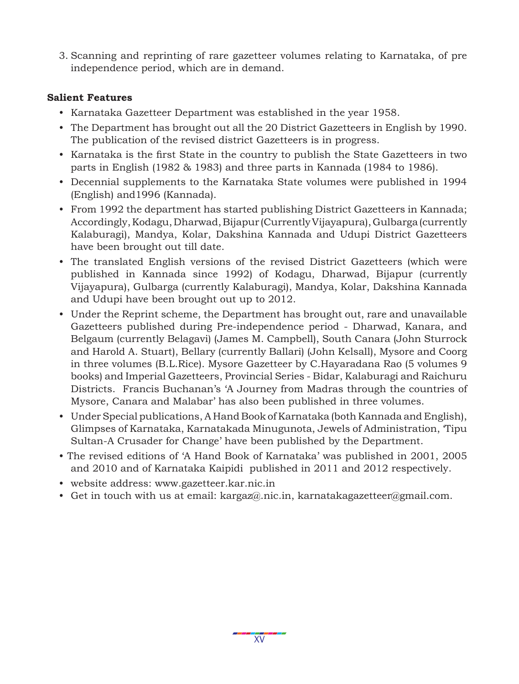3. Scanning and reprinting of rare gazetteer volumes relating to Karnataka, of pre independence period, which are in demand.

#### **Salient Features**

- Karnataka Gazetteer Department was established in the year 1958.
- The Department has brought out all the 20 District Gazetteers in English by 1990. The publication of the revised district Gazetteers is in progress.
- Karnataka is the first State in the country to publish the State Gazetteers in two parts in English (1982 & 1983) and three parts in Kannada (1984 to 1986).
- Decennial supplements to the Karnataka State volumes were published in 1994 (English) and1996 (Kannada).
- From 1992 the department has started publishing District Gazetteers in Kannada; Accordingly, Kodagu, Dharwad, Bijapur (Currently Vijayapura), Gulbarga (currently Kalaburagi), Mandya, Kolar, Dakshina Kannada and Udupi District Gazetteers have been brought out till date.
- The translated English versions of the revised District Gazetteers (which were published in Kannada since 1992) of Kodagu, Dharwad, Bijapur (currently Vijayapura), Gulbarga (currently Kalaburagi), Mandya, Kolar, Dakshina Kannada and Udupi have been brought out up to 2012.
- Under the Reprint scheme, the Department has brought out, rare and unavailable Gazetteers published during Pre-independence period - Dharwad, Kanara, and Belgaum (currently Belagavi) (James M. Campbell), South Canara (John Sturrock and Harold A. Stuart), Bellary (currently Ballari) (John Kelsall), Mysore and Coorg in three volumes (B.L.Rice). Mysore Gazetteer by C.Hayaradana Rao (5 volumes 9 books) and Imperial Gazetteers, Provincial Series - Bidar, Kalaburagi and Raichuru Districts. Francis Buchanan's 'A Journey from Madras through the countries of Mysore, Canara and Malabar' has also been published in three volumes.
- Under Special publications, A Hand Book of Karnataka (both Kannada and English), Glimpses of Karnataka, Karnatakada Minugunota, Jewels of Administration, 'Tipu Sultan-A Crusader for Change' have been published by the Department.
- The revised editions of 'A Hand Book of Karnataka' was published in 2001, 2005 and 2010 and of Karnataka Kaipidi published in 2011 and 2012 respectively.
- website address: www.gazetteer.kar.nic.in
- Get in touch with us at email: kargaz@.nic.in, karnatakagazetteer@gmail.com.